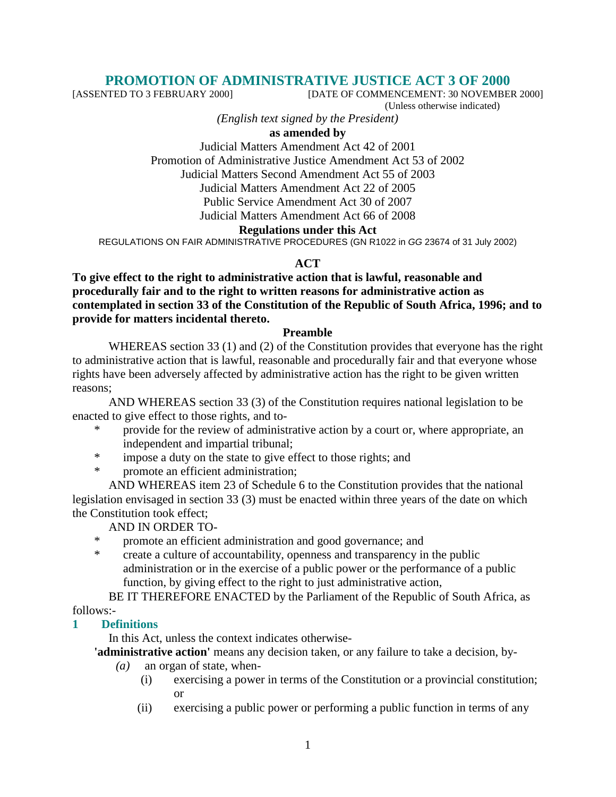# **PROMOTION OF ADMINISTRATIVE JUSTICE ACT 3 OF 2000**<br>[DATE OF COMMENCEMENT: 30 NOVEMBER

[DATE OF COMMENCEMENT: 30 NOVEMBER 2000]

(Unless otherwise indicated)

*(English text signed by the President)*  **as amended by** 

Judicial Matters Amendment Act 42 of 2001

Promotion of Administrative Justice Amendment Act 53 of 2002

Judicial Matters Second Amendment Act 55 of 2003

Judicial Matters Amendment Act 22 of 2005

Public Service Amendment Act 30 of 2007

Judicial Matters Amendment Act 66 of 2008

## **Regulations under this Act**

REGULATIONS ON FAIR ADMINISTRATIVE PROCEDURES (GN R1022 in GG 23674 of 31 July 2002)

## **ACT**

**To give effect to the right to administrative action that is lawful, reasonable and procedurally fair and to the right to written reasons for administrative action as contemplated in section 33 of the Constitution of the Republic of South Africa, 1996; and to provide for matters incidental thereto.** 

#### **Preamble**

 WHEREAS section 33 (1) and (2) of the Constitution provides that everyone has the right to administrative action that is lawful, reasonable and procedurally fair and that everyone whose rights have been adversely affected by administrative action has the right to be given written reasons;

 AND WHEREAS section 33 (3) of the Constitution requires national legislation to be enacted to give effect to those rights, and to-

- provide for the review of administrative action by a court or, where appropriate, an independent and impartial tribunal;
- \* impose a duty on the state to give effect to those rights; and
- \* promote an efficient administration;

 AND WHEREAS item 23 of Schedule 6 to the Constitution provides that the national legislation envisaged in section 33 (3) must be enacted within three years of the date on which the Constitution took effect;

## AND IN ORDER TO-

- \* promote an efficient administration and good governance; and<br>\* exacts a culture of accountability openness and transparency in
- \* create a culture of accountability, openness and transparency in the public administration or in the exercise of a public power or the performance of a public function, by giving effect to the right to just administrative action,

 BE IT THEREFORE ENACTED by the Parliament of the Republic of South Africa, as follows:-

## **1 Definitions**

In this Act, unless the context indicates otherwise-

**'administrative action'** means any decision taken, or any failure to take a decision, by-

- *(a)* an organ of state, when-
	- (i) exercising a power in terms of the Constitution or a provincial constitution; or
	- (ii) exercising a public power or performing a public function in terms of any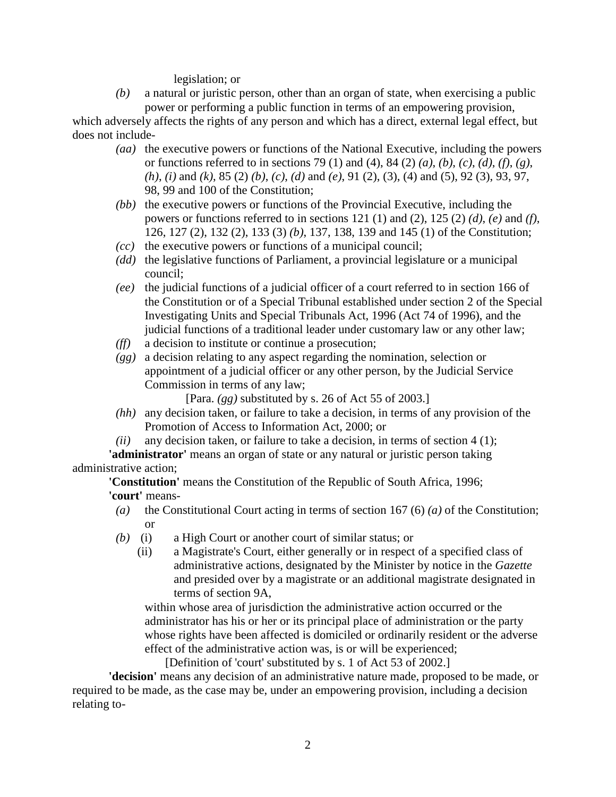legislation; or

 *(b)* a natural or juristic person, other than an organ of state, when exercising a public power or performing a public function in terms of an empowering provision,

which adversely affects the rights of any person and which has a direct, external legal effect, but does not include-

- *(aa)* the executive powers or functions of the National Executive, including the powers or functions referred to in sections 79 (1) and (4), 84 (2) *(a)*, *(b)*, *(c)*, *(d)*, *(f)*, *(g)*, *(h)*, *(i)* and *(k)*, 85 (2) *(b)*, *(c)*, *(d)* and *(e)*, 91 (2), (3), (4) and (5), 92 (3), 93, 97, 98, 99 and 100 of the Constitution;
- *(bb)* the executive powers or functions of the Provincial Executive, including the powers or functions referred to in sections 121 (1) and (2), 125 (2) *(d)*, *(e)* and *(f)*, 126, 127 (2), 132 (2), 133 (3) *(b)*, 137, 138, 139 and 145 (1) of the Constitution;
- *(cc)* the executive powers or functions of a municipal council;
- *(dd)* the legislative functions of Parliament, a provincial legislature or a municipal council;
- *(ee)* the judicial functions of a judicial officer of a court referred to in section 166 of the Constitution or of a Special Tribunal established under section 2 of the Special Investigating Units and Special Tribunals Act, 1996 (Act 74 of 1996), and the judicial functions of a traditional leader under customary law or any other law;
- *(ff)* a decision to institute or continue a prosecution;
- *(gg)* a decision relating to any aspect regarding the nomination, selection or appointment of a judicial officer or any other person, by the Judicial Service Commission in terms of any law;

[Para. *(gg)* substituted by s. 26 of Act 55 of 2003.]

- *(hh)* any decision taken, or failure to take a decision, in terms of any provision of the Promotion of Access to Information Act, 2000; or
- *(ii)* any decision taken, or failure to take a decision, in terms of section 4 (1);

**'administrator'** means an organ of state or any natural or juristic person taking administrative action;

**'Constitution'** means the Constitution of the Republic of South Africa, 1996; **'court'** means-

- *(a)* the Constitutional Court acting in terms of section 167 (6) *(a)* of the Constitution; or
- *(b)* (i) a High Court or another court of similar status; or
	- (ii) a Magistrate's Court, either generally or in respect of a specified class of administrative actions, designated by the Minister by notice in the *Gazette* and presided over by a magistrate or an additional magistrate designated in terms of section 9A,

 within whose area of jurisdiction the administrative action occurred or the administrator has his or her or its principal place of administration or the party whose rights have been affected is domiciled or ordinarily resident or the adverse effect of the administrative action was, is or will be experienced;

[Definition of 'court' substituted by s. 1 of Act 53 of 2002.]

**'decision'** means any decision of an administrative nature made, proposed to be made, or required to be made, as the case may be, under an empowering provision, including a decision relating to-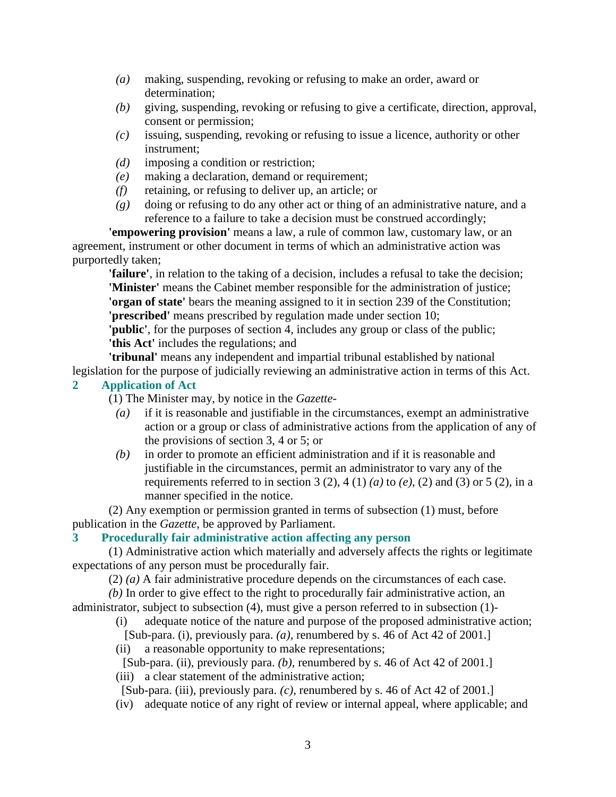- *(a)* making, suspending, revoking or refusing to make an order, award or determination;
- *(b)* giving, suspending, revoking or refusing to give a certificate, direction, approval, consent or permission;
- *(c)* issuing, suspending, revoking or refusing to issue a licence, authority or other instrument;
- *(d)* imposing a condition or restriction;
- *(e)* making a declaration, demand or requirement;
- *(f)* retaining, or refusing to deliver up, an article; or
- *(g)* doing or refusing to do any other act or thing of an administrative nature, and a reference to a failure to take a decision must be construed accordingly;

**'empowering provision'** means a law, a rule of common law, customary law, or an agreement, instrument or other document in terms of which an administrative action was purportedly taken;

**'failure'**, in relation to the taking of a decision, includes a refusal to take the decision; **'Minister'** means the Cabinet member responsible for the administration of justice; **'organ of state'** bears the meaning assigned to it in section 239 of the Constitution; **'prescribed'** means prescribed by regulation made under section 10;

**'public'**, for the purposes of section 4, includes any group or class of the public; **'this Act'** includes the regulations; and

**'tribunal'** means any independent and impartial tribunal established by national legislation for the purpose of judicially reviewing an administrative action in terms of this Act.

## **2 Application of Act**

(1) The Minister may, by notice in the *Gazette*-

- *(a)* if it is reasonable and justifiable in the circumstances, exempt an administrative action or a group or class of administrative actions from the application of any of the provisions of section 3, 4 or 5; or
- *(b)* in order to promote an efficient administration and if it is reasonable and justifiable in the circumstances, permit an administrator to vary any of the requirements referred to in section 3 (2), 4 (1) *(a)* to *(e)*, (2) and (3) or 5 (2), in a manner specified in the notice.

 (2) Any exemption or permission granted in terms of subsection (1) must, before publication in the *Gazette*, be approved by Parliament.

## **3 Procedurally fair administrative action affecting any person**

 (1) Administrative action which materially and adversely affects the rights or legitimate expectations of any person must be procedurally fair.

(2) *(a)* A fair administrative procedure depends on the circumstances of each case.

*(b)* In order to give effect to the right to procedurally fair administrative action, an administrator, subject to subsection (4), must give a person referred to in subsection (1)-

- (i) adequate notice of the nature and purpose of the proposed administrative action;
- [Sub-para. (i), previously para. *(a)*, renumbered by s. 46 of Act 42 of 2001.]
- (ii) a reasonable opportunity to make representations;
- [Sub-para. (ii), previously para. *(b)*, renumbered by s. 46 of Act 42 of 2001.]
- (iii) a clear statement of the administrative action;

[Sub-para. (iii), previously para. *(c)*, renumbered by s. 46 of Act 42 of 2001.]

(iv) adequate notice of any right of review or internal appeal, where applicable; and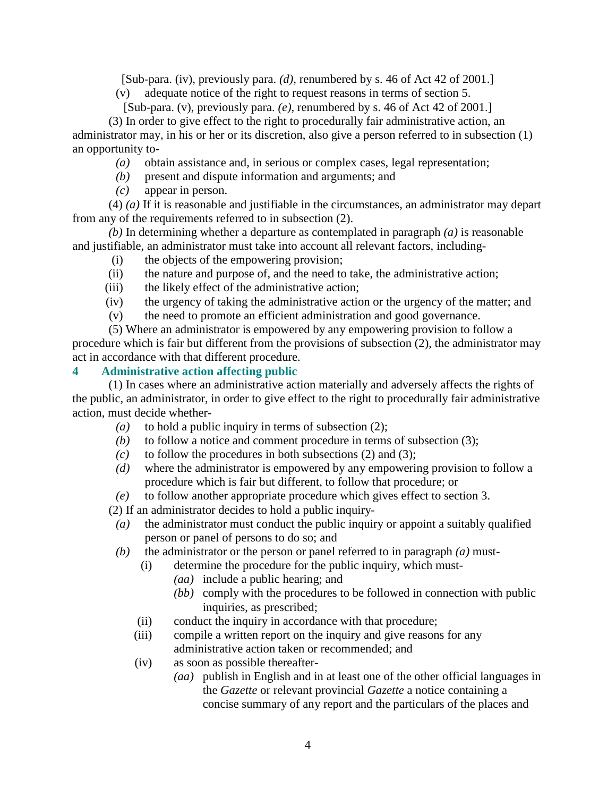[Sub-para. (iv), previously para. *(d)*, renumbered by s. 46 of Act 42 of 2001.]

(v) adequate notice of the right to request reasons in terms of section 5.

[Sub-para. (v), previously para. *(e)*, renumbered by s. 46 of Act 42 of 2001.]

 (3) In order to give effect to the right to procedurally fair administrative action, an administrator may, in his or her or its discretion, also give a person referred to in subsection (1) an opportunity to-

- *(a)* obtain assistance and, in serious or complex cases, legal representation;
- *(b)* present and dispute information and arguments; and
- *(c)* appear in person.

 (4) *(a)* If it is reasonable and justifiable in the circumstances, an administrator may depart from any of the requirements referred to in subsection (2).

*(b)* In determining whether a departure as contemplated in paragraph *(a)* is reasonable and justifiable, an administrator must take into account all relevant factors, including-

- (i) the objects of the empowering provision;
- (ii) the nature and purpose of, and the need to take, the administrative action;
- (iii) the likely effect of the administrative action;
- (iv) the urgency of taking the administrative action or the urgency of the matter; and
- (v) the need to promote an efficient administration and good governance.

 (5) Where an administrator is empowered by any empowering provision to follow a procedure which is fair but different from the provisions of subsection (2), the administrator may act in accordance with that different procedure.

## **4 Administrative action affecting public**

 (1) In cases where an administrative action materially and adversely affects the rights of the public, an administrator, in order to give effect to the right to procedurally fair administrative action, must decide whether-

- *(a)* to hold a public inquiry in terms of subsection (2);
- *(b)* to follow a notice and comment procedure in terms of subsection (3);
- $(c)$  to follow the procedures in both subsections (2) and (3);
- *(d)* where the administrator is empowered by any empowering provision to follow a procedure which is fair but different, to follow that procedure; or
- *(e)* to follow another appropriate procedure which gives effect to section 3.

(2) If an administrator decides to hold a public inquiry-

- *(a)* the administrator must conduct the public inquiry or appoint a suitably qualified person or panel of persons to do so; and
- *(b)* the administrator or the person or panel referred to in paragraph *(a)* must-
	- (i) determine the procedure for the public inquiry, which must-
		- *(aa)* include a public hearing; and
		- *(bb)* comply with the procedures to be followed in connection with public inquiries, as prescribed;
	- (ii) conduct the inquiry in accordance with that procedure;
	- (iii) compile a written report on the inquiry and give reasons for any administrative action taken or recommended; and
	- (iv) as soon as possible thereafter-
		- *(aa)* publish in English and in at least one of the other official languages in the *Gazette* or relevant provincial *Gazette* a notice containing a concise summary of any report and the particulars of the places and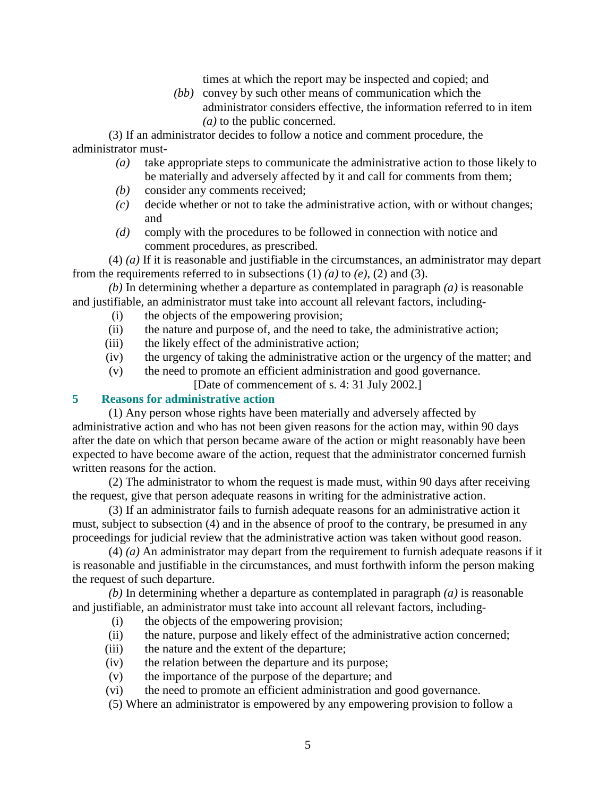times at which the report may be inspected and copied; and

 *(bb)* convey by such other means of communication which the administrator considers effective, the information referred to in item *(a)* to the public concerned.

 (3) If an administrator decides to follow a notice and comment procedure, the administrator must-

- *(a)* take appropriate steps to communicate the administrative action to those likely to be materially and adversely affected by it and call for comments from them;
- *(b)* consider any comments received;
- *(c)* decide whether or not to take the administrative action, with or without changes; and
- *(d)* comply with the procedures to be followed in connection with notice and comment procedures, as prescribed.

 (4) *(a)* If it is reasonable and justifiable in the circumstances, an administrator may depart from the requirements referred to in subsections  $(1)$   $(a)$  to  $(e)$ ,  $(2)$  and  $(3)$ .

*(b)* In determining whether a departure as contemplated in paragraph *(a)* is reasonable and justifiable, an administrator must take into account all relevant factors, including-

- (i) the objects of the empowering provision;
- (ii) the nature and purpose of, and the need to take, the administrative action;
- (iii) the likely effect of the administrative action;
- (iv) the urgency of taking the administrative action or the urgency of the matter; and
- (v) the need to promote an efficient administration and good governance.
	- [Date of commencement of s. 4: 31 July 2002.]

## **5 Reasons for administrative action**

 (1) Any person whose rights have been materially and adversely affected by administrative action and who has not been given reasons for the action may, within 90 days after the date on which that person became aware of the action or might reasonably have been expected to have become aware of the action, request that the administrator concerned furnish written reasons for the action.

 (2) The administrator to whom the request is made must, within 90 days after receiving the request, give that person adequate reasons in writing for the administrative action.

 (3) If an administrator fails to furnish adequate reasons for an administrative action it must, subject to subsection (4) and in the absence of proof to the contrary, be presumed in any proceedings for judicial review that the administrative action was taken without good reason.

 (4) *(a)* An administrator may depart from the requirement to furnish adequate reasons if it is reasonable and justifiable in the circumstances, and must forthwith inform the person making the request of such departure.

*(b)* In determining whether a departure as contemplated in paragraph *(a)* is reasonable and justifiable, an administrator must take into account all relevant factors, including-

- (i) the objects of the empowering provision;
- (ii) the nature, purpose and likely effect of the administrative action concerned;
- (iii) the nature and the extent of the departure;
- (iv) the relation between the departure and its purpose;
- (v) the importance of the purpose of the departure; and
- (vi) the need to promote an efficient administration and good governance.
- (5) Where an administrator is empowered by any empowering provision to follow a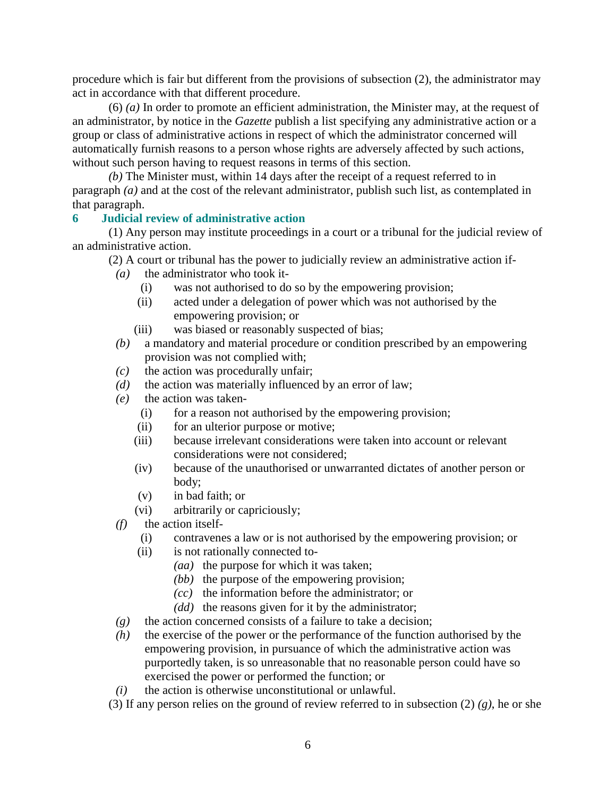procedure which is fair but different from the provisions of subsection (2), the administrator may act in accordance with that different procedure.

 (6) *(a)* In order to promote an efficient administration, the Minister may, at the request of an administrator, by notice in the *Gazette* publish a list specifying any administrative action or a group or class of administrative actions in respect of which the administrator concerned will automatically furnish reasons to a person whose rights are adversely affected by such actions, without such person having to request reasons in terms of this section.

*(b)* The Minister must, within 14 days after the receipt of a request referred to in paragraph *(a)* and at the cost of the relevant administrator, publish such list, as contemplated in that paragraph.

## **6 Judicial review of administrative action**

 (1) Any person may institute proceedings in a court or a tribunal for the judicial review of an administrative action.

(2) A court or tribunal has the power to judicially review an administrative action if-

- *(a)* the administrator who took it-
	- (i) was not authorised to do so by the empowering provision;
	- (ii) acted under a delegation of power which was not authorised by the empowering provision; or
	- (iii) was biased or reasonably suspected of bias;
- *(b)* a mandatory and material procedure or condition prescribed by an empowering provision was not complied with;
- *(c)* the action was procedurally unfair;
- *(d)* the action was materially influenced by an error of law;
- *(e)* the action was taken-
	- (i) for a reason not authorised by the empowering provision;
	- (ii) for an ulterior purpose or motive;
	- (iii) because irrelevant considerations were taken into account or relevant considerations were not considered;
	- (iv) because of the unauthorised or unwarranted dictates of another person or body;
	- (v) in bad faith; or
	- (vi) arbitrarily or capriciously;
- $(f)$  the action itself-
	- (i) contravenes a law or is not authorised by the empowering provision; or
	- (ii) is not rationally connected to-
		- *(aa)* the purpose for which it was taken;
		- *(bb)* the purpose of the empowering provision;
		- *(cc)* the information before the administrator; or
		- *(dd)* the reasons given for it by the administrator;
- $(g)$  the action concerned consists of a failure to take a decision;
- *(h)* the exercise of the power or the performance of the function authorised by the empowering provision, in pursuance of which the administrative action was purportedly taken, is so unreasonable that no reasonable person could have so exercised the power or performed the function; or
- *(i)* the action is otherwise unconstitutional or unlawful.
- (3) If any person relies on the ground of review referred to in subsection (2) *(g)*, he or she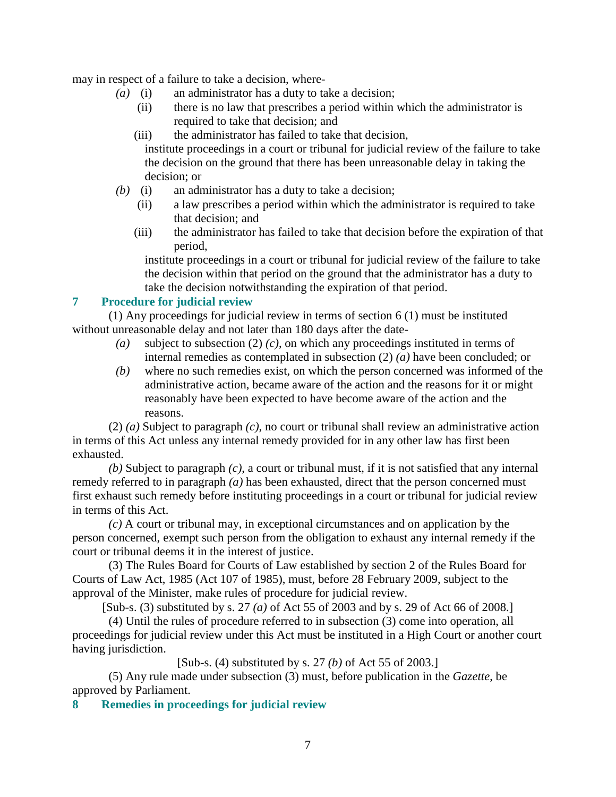may in respect of a failure to take a decision, where-

- *(a)* (i) an administrator has a duty to take a decision;
	- (ii) there is no law that prescribes a period within which the administrator is required to take that decision; and
	- (iii) the administrator has failed to take that decision, institute proceedings in a court or tribunal for judicial review of the failure to take the decision on the ground that there has been unreasonable delay in taking the decision; or
- *(b)* (i) an administrator has a duty to take a decision;
	- (ii) a law prescribes a period within which the administrator is required to take that decision; and
	- (iii) the administrator has failed to take that decision before the expiration of that period,

 institute proceedings in a court or tribunal for judicial review of the failure to take the decision within that period on the ground that the administrator has a duty to take the decision notwithstanding the expiration of that period.

## **7 Procedure for judicial review**

 (1) Any proceedings for judicial review in terms of section 6 (1) must be instituted without unreasonable delay and not later than 180 days after the date-

- *(a)* subject to subsection (2) *(c)*, on which any proceedings instituted in terms of internal remedies as contemplated in subsection (2) *(a)* have been concluded; or
- *(b)* where no such remedies exist, on which the person concerned was informed of the administrative action, became aware of the action and the reasons for it or might reasonably have been expected to have become aware of the action and the reasons.

 (2) *(a)* Subject to paragraph *(c)*, no court or tribunal shall review an administrative action in terms of this Act unless any internal remedy provided for in any other law has first been exhausted.

*(b)* Subject to paragraph *(c)*, a court or tribunal must, if it is not satisfied that any internal remedy referred to in paragraph *(a)* has been exhausted, direct that the person concerned must first exhaust such remedy before instituting proceedings in a court or tribunal for judicial review in terms of this Act.

*(c)* A court or tribunal may, in exceptional circumstances and on application by the person concerned, exempt such person from the obligation to exhaust any internal remedy if the court or tribunal deems it in the interest of justice.

 (3) The Rules Board for Courts of Law established by section 2 of the Rules Board for Courts of Law Act, 1985 (Act 107 of 1985), must, before 28 February 2009, subject to the approval of the Minister, make rules of procedure for judicial review.

[Sub-s. (3) substituted by s. 27 *(a)* of Act 55 of 2003 and by s. 29 of Act 66 of 2008.]

 (4) Until the rules of procedure referred to in subsection (3) come into operation, all proceedings for judicial review under this Act must be instituted in a High Court or another court having jurisdiction.

[Sub-s. (4) substituted by s. 27 *(b)* of Act 55 of 2003.]

 (5) Any rule made under subsection (3) must, before publication in the *Gazette*, be approved by Parliament.

**8 Remedies in proceedings for judicial review**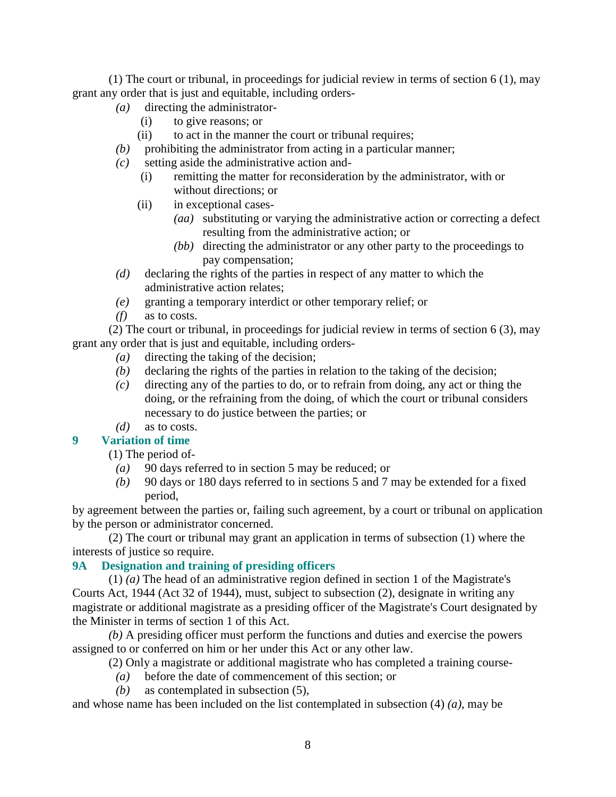(1) The court or tribunal, in proceedings for judicial review in terms of section 6 (1), may grant any order that is just and equitable, including orders-

- *(a)* directing the administrator-
	- (i) to give reasons; or
	- (ii) to act in the manner the court or tribunal requires;
- *(b)* prohibiting the administrator from acting in a particular manner;
- *(c)* setting aside the administrative action and-
	- (i) remitting the matter for reconsideration by the administrator, with or without directions; or
	- (ii) in exceptional cases-
		- *(aa)* substituting or varying the administrative action or correcting a defect resulting from the administrative action; or
		- *(bb)* directing the administrator or any other party to the proceedings to pay compensation;
- *(d)* declaring the rights of the parties in respect of any matter to which the administrative action relates;
- *(e)* granting a temporary interdict or other temporary relief; or
- *(f)* as to costs.

 (2) The court or tribunal, in proceedings for judicial review in terms of section 6 (3), may grant any order that is just and equitable, including orders-

- *(a)* directing the taking of the decision;
- *(b)* declaring the rights of the parties in relation to the taking of the decision;
- *(c)* directing any of the parties to do, or to refrain from doing, any act or thing the doing, or the refraining from the doing, of which the court or tribunal considers necessary to do justice between the parties; or
- *(d)* as to costs.

## **9 Variation of time**

(1) The period of-

- *(a)* 90 days referred to in section 5 may be reduced; or
- *(b)* 90 days or 180 days referred to in sections 5 and 7 may be extended for a fixed period,

by agreement between the parties or, failing such agreement, by a court or tribunal on application by the person or administrator concerned.

 (2) The court or tribunal may grant an application in terms of subsection (1) where the interests of justice so require.

## **9A Designation and training of presiding officers**

 (1) *(a)* The head of an administrative region defined in section 1 of the Magistrate's Courts Act, 1944 (Act 32 of 1944), must, subject to subsection (2), designate in writing any magistrate or additional magistrate as a presiding officer of the Magistrate's Court designated by the Minister in terms of section 1 of this Act.

*(b)* A presiding officer must perform the functions and duties and exercise the powers assigned to or conferred on him or her under this Act or any other law.

(2) Only a magistrate or additional magistrate who has completed a training course-

- *(a)* before the date of commencement of this section; or
- *(b)* as contemplated in subsection (5),

and whose name has been included on the list contemplated in subsection (4) *(a)*, may be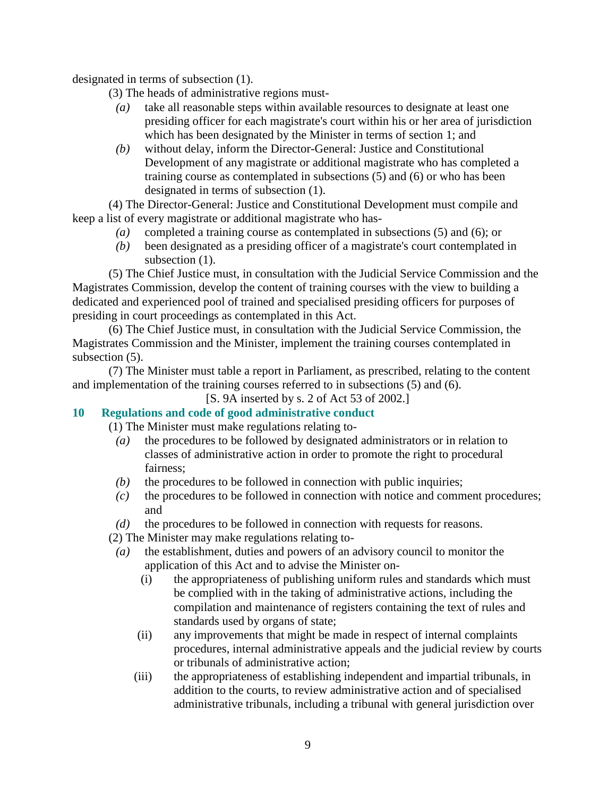designated in terms of subsection (1).

- (3) The heads of administrative regions must-
	- *(a)* take all reasonable steps within available resources to designate at least one presiding officer for each magistrate's court within his or her area of jurisdiction which has been designated by the Minister in terms of section 1; and
	- *(b)* without delay, inform the Director-General: Justice and Constitutional Development of any magistrate or additional magistrate who has completed a training course as contemplated in subsections (5) and (6) or who has been designated in terms of subsection (1).

 (4) The Director-General: Justice and Constitutional Development must compile and keep a list of every magistrate or additional magistrate who has-

- *(a)* completed a training course as contemplated in subsections (5) and (6); or
- *(b)* been designated as a presiding officer of a magistrate's court contemplated in subsection  $(1)$ .

 (5) The Chief Justice must, in consultation with the Judicial Service Commission and the Magistrates Commission, develop the content of training courses with the view to building a dedicated and experienced pool of trained and specialised presiding officers for purposes of presiding in court proceedings as contemplated in this Act.

 (6) The Chief Justice must, in consultation with the Judicial Service Commission, the Magistrates Commission and the Minister, implement the training courses contemplated in subsection  $(5)$ .

 (7) The Minister must table a report in Parliament, as prescribed, relating to the content and implementation of the training courses referred to in subsections (5) and (6).

[S. 9A inserted by s. 2 of Act 53 of 2002.]

## **10 Regulations and code of good administrative conduct**

(1) The Minister must make regulations relating to-

- *(a)* the procedures to be followed by designated administrators or in relation to classes of administrative action in order to promote the right to procedural fairness;
- *(b)* the procedures to be followed in connection with public inquiries;
- *(c)* the procedures to be followed in connection with notice and comment procedures; and
- *(d)* the procedures to be followed in connection with requests for reasons.
- (2) The Minister may make regulations relating to-
	- *(a)* the establishment, duties and powers of an advisory council to monitor the application of this Act and to advise the Minister on-
		- (i) the appropriateness of publishing uniform rules and standards which must be complied with in the taking of administrative actions, including the compilation and maintenance of registers containing the text of rules and standards used by organs of state;
		- (ii) any improvements that might be made in respect of internal complaints procedures, internal administrative appeals and the judicial review by courts or tribunals of administrative action;
		- (iii) the appropriateness of establishing independent and impartial tribunals, in addition to the courts, to review administrative action and of specialised administrative tribunals, including a tribunal with general jurisdiction over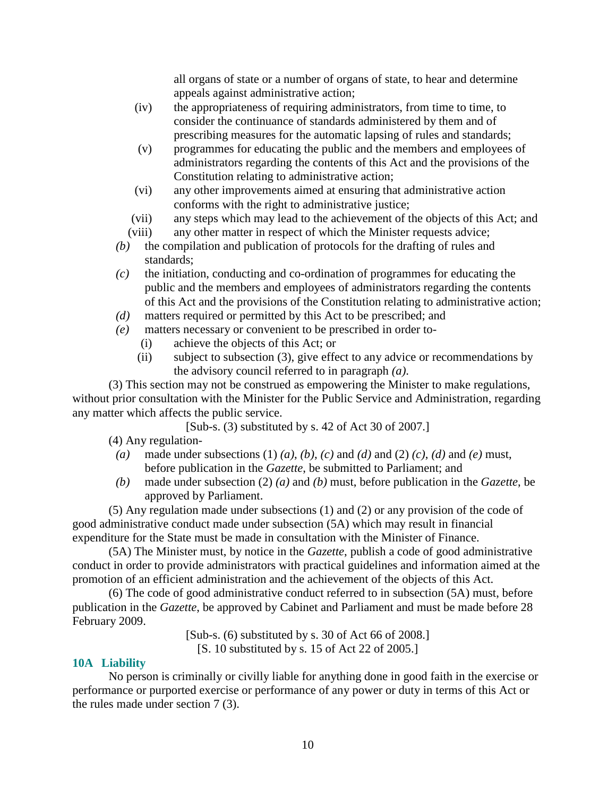all organs of state or a number of organs of state, to hear and determine appeals against administrative action;

- (iv) the appropriateness of requiring administrators, from time to time, to consider the continuance of standards administered by them and of prescribing measures for the automatic lapsing of rules and standards;
- (v) programmes for educating the public and the members and employees of administrators regarding the contents of this Act and the provisions of the Constitution relating to administrative action;
- (vi) any other improvements aimed at ensuring that administrative action conforms with the right to administrative justice;
- (vii) any steps which may lead to the achievement of the objects of this Act; and
- (viii) any other matter in respect of which the Minister requests advice;
- *(b)* the compilation and publication of protocols for the drafting of rules and standards;
- *(c)* the initiation, conducting and co-ordination of programmes for educating the public and the members and employees of administrators regarding the contents of this Act and the provisions of the Constitution relating to administrative action;
- *(d)* matters required or permitted by this Act to be prescribed; and
- *(e)* matters necessary or convenient to be prescribed in order to-
	- (i) achieve the objects of this Act; or
	- (ii) subject to subsection (3), give effect to any advice or recommendations by the advisory council referred to in paragraph *(a)*.

 (3) This section may not be construed as empowering the Minister to make regulations, without prior consultation with the Minister for the Public Service and Administration, regarding any matter which affects the public service.

 $[Sub-s. (3)$  substituted by s. 42 of Act 30 of 2007.

(4) Any regulation-

- *(a)* made under subsections (1) *(a)*, *(b)*, *(c)* and *(d)* and (2) *(c)*, *(d)* and *(e)* must, before publication in the *Gazette*, be submitted to Parliament; and
- *(b)* made under subsection (2) *(a)* and *(b)* must, before publication in the *Gazette*, be approved by Parliament.

 (5) Any regulation made under subsections (1) and (2) or any provision of the code of good administrative conduct made under subsection (5A) which may result in financial expenditure for the State must be made in consultation with the Minister of Finance.

 (5A) The Minister must, by notice in the *Gazette*, publish a code of good administrative conduct in order to provide administrators with practical guidelines and information aimed at the promotion of an efficient administration and the achievement of the objects of this Act.

 (6) The code of good administrative conduct referred to in subsection (5A) must, before publication in the *Gazette*, be approved by Cabinet and Parliament and must be made before 28 February 2009.

> [Sub-s. (6) substituted by s. 30 of Act 66 of 2008.] [S. 10 substituted by s. 15 of Act 22 of 2005.]

## **10A Liability**

 No person is criminally or civilly liable for anything done in good faith in the exercise or performance or purported exercise or performance of any power or duty in terms of this Act or the rules made under section 7 (3).